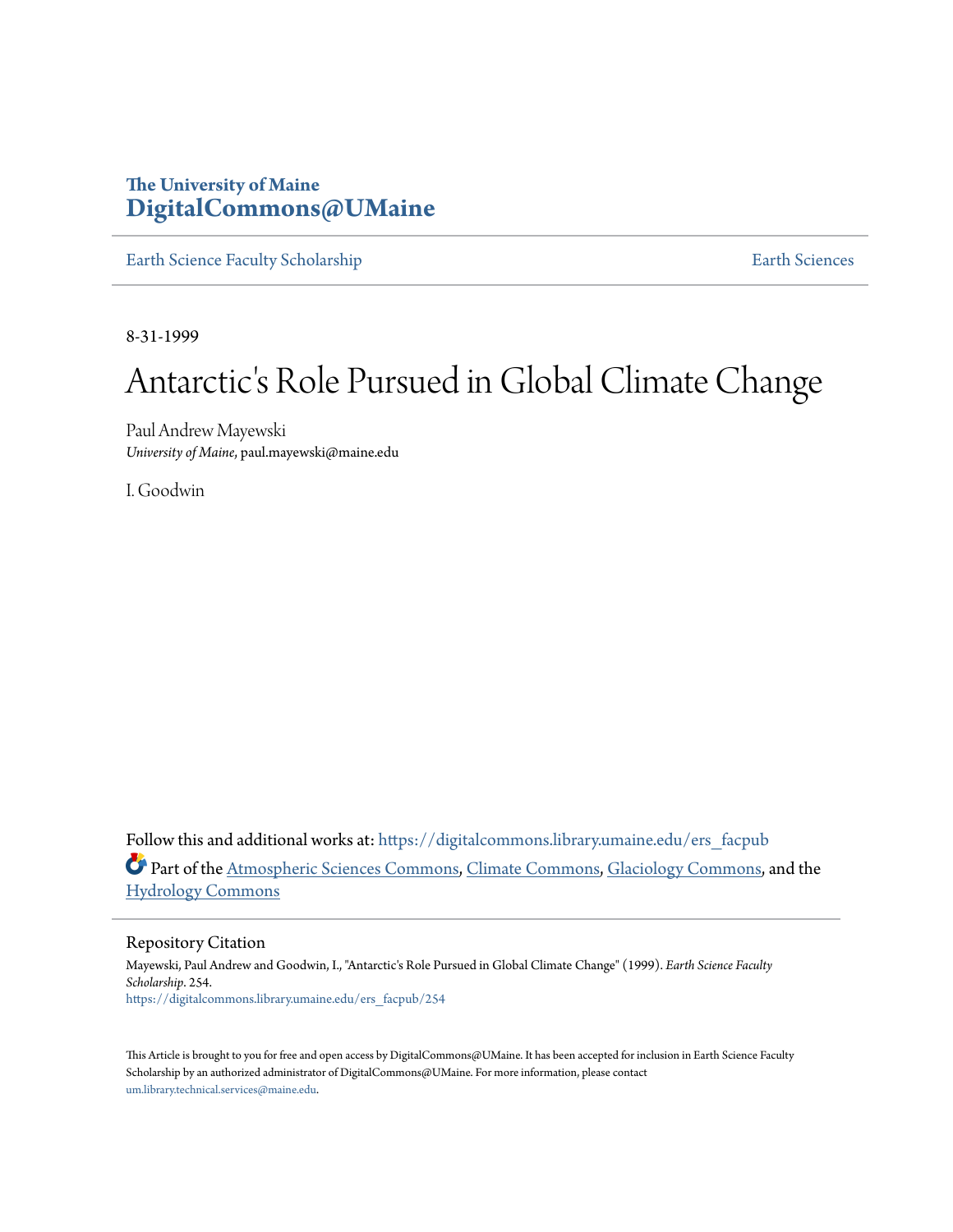## **The University of Maine [DigitalCommons@UMaine](https://digitalcommons.library.umaine.edu?utm_source=digitalcommons.library.umaine.edu%2Fers_facpub%2F254&utm_medium=PDF&utm_campaign=PDFCoverPages)**

[Earth Science Faculty Scholarship](https://digitalcommons.library.umaine.edu/ers_facpub?utm_source=digitalcommons.library.umaine.edu%2Fers_facpub%2F254&utm_medium=PDF&utm_campaign=PDFCoverPages) **[Earth Sciences](https://digitalcommons.library.umaine.edu/ers?utm_source=digitalcommons.library.umaine.edu%2Fers_facpub%2F254&utm_medium=PDF&utm_campaign=PDFCoverPages)** 

8-31-1999

# Antarctic's Role Pursued in Global Climate Change

Paul Andrew Mayewski *University of Maine*, paul.mayewski@maine.edu

I. Goodwin

Follow this and additional works at: [https://digitalcommons.library.umaine.edu/ers\\_facpub](https://digitalcommons.library.umaine.edu/ers_facpub?utm_source=digitalcommons.library.umaine.edu%2Fers_facpub%2F254&utm_medium=PDF&utm_campaign=PDFCoverPages) Part of the [Atmospheric Sciences Commons,](http://network.bepress.com/hgg/discipline/187?utm_source=digitalcommons.library.umaine.edu%2Fers_facpub%2F254&utm_medium=PDF&utm_campaign=PDFCoverPages) [Climate Commons,](http://network.bepress.com/hgg/discipline/188?utm_source=digitalcommons.library.umaine.edu%2Fers_facpub%2F254&utm_medium=PDF&utm_campaign=PDFCoverPages) [Glaciology Commons](http://network.bepress.com/hgg/discipline/159?utm_source=digitalcommons.library.umaine.edu%2Fers_facpub%2F254&utm_medium=PDF&utm_campaign=PDFCoverPages), and the [Hydrology Commons](http://network.bepress.com/hgg/discipline/1054?utm_source=digitalcommons.library.umaine.edu%2Fers_facpub%2F254&utm_medium=PDF&utm_campaign=PDFCoverPages)

Repository Citation

Mayewski, Paul Andrew and Goodwin, I., "Antarctic's Role Pursued in Global Climate Change" (1999). *Earth Science Faculty Scholarship*. 254. [https://digitalcommons.library.umaine.edu/ers\\_facpub/254](https://digitalcommons.library.umaine.edu/ers_facpub/254?utm_source=digitalcommons.library.umaine.edu%2Fers_facpub%2F254&utm_medium=PDF&utm_campaign=PDFCoverPages)

This Article is brought to you for free and open access by DigitalCommons@UMaine. It has been accepted for inclusion in Earth Science Faculty Scholarship by an authorized administrator of DigitalCommons@UMaine. For more information, please contact [um.library.technical.services@maine.edu](mailto:um.library.technical.services@maine.edu).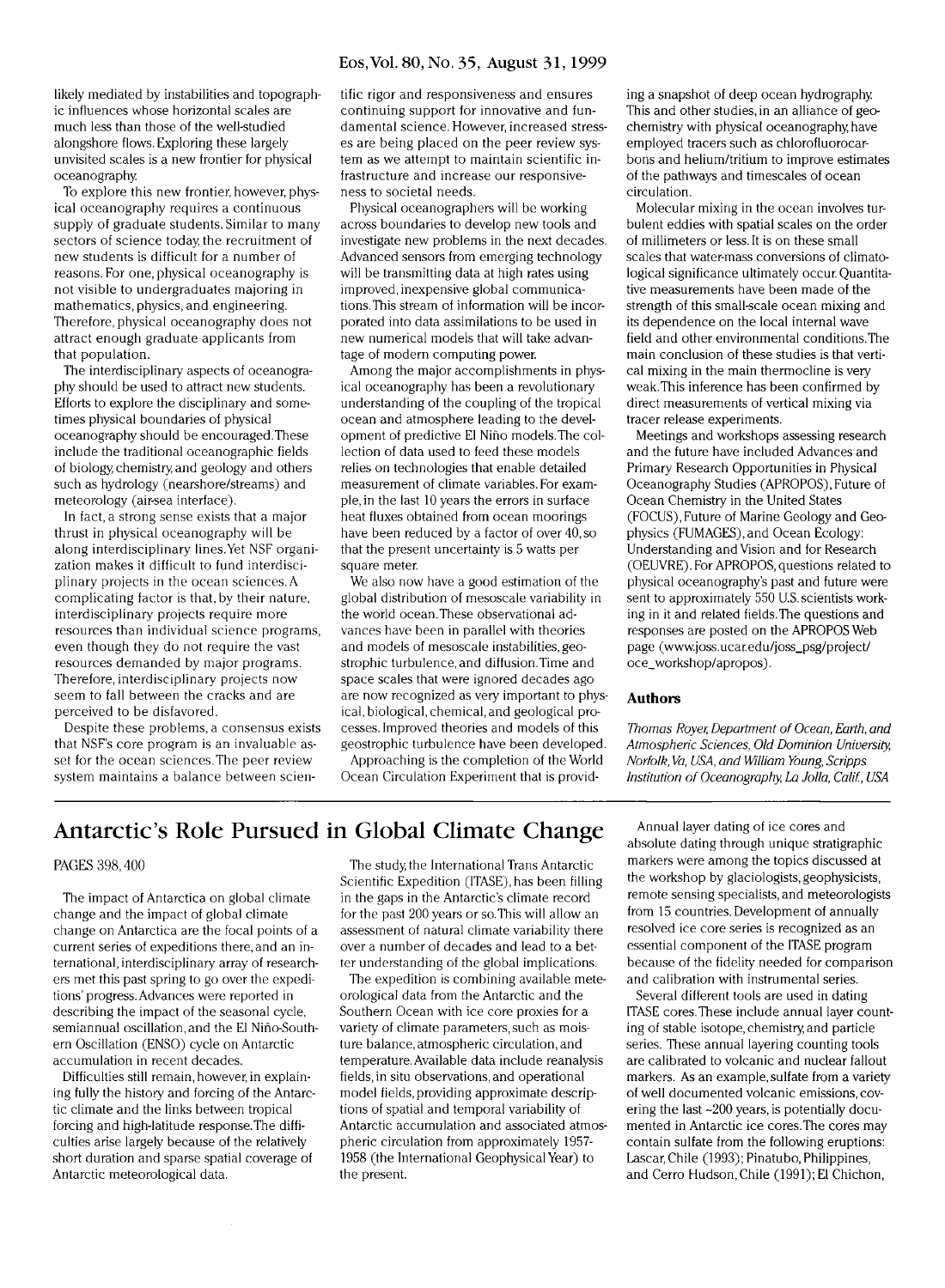#### **Eos,Vol. 80, No. 35, August 31,1999**

likely mediated by instabilities and topographic influences whose horizontal scales are much less than those of the well-studied alongshore flows. Exploring these largely unvisited scales is a new frontier for physical oceanography

To explore this new frontier, however, physical oceanography requires a continuous supply of graduate students. Similar to many sectors of science today, the recruitment of new students is difficult for a number of reasons. For one, physical oceanography is not visible to undergraduates majoring in mathematics, physics, and engineering. Therefore, physical oceanography does not attract enough graduate applicants from that population.

The interdisciplinary aspects of oceanography should be used to attract new students. Efforts to explore the disciplinary and sometimes physical boundaries of physical oceanography should be encouraged.These include the traditional oceanographic fields of biology, chemistry, and geology and others such as hydrology (nearshore/streams) and meteorology (air-sea interface).

In fact, a strong sense exists that a major thrust in physical oceanography will be along interdisciplinary lines.Yet NSF organization makes it difficult to fund interdisciplinary projects in the ocean sciences. A complicating factor is that, by their nature, interdisciplinary projects require more resources than individual science programs, even though they do not require the vast resources demanded by major programs. Therefore, interdisciplinary projects now seem to fall between the cracks and are perceived to be disfavored.

Despite these problems, a consensus exists that NSF's core program is an invaluable asset for the ocean sciences. The peer review system maintains a balance between scientific rigor and responsiveness and ensures continuing support for innovative and fundamental science . However, increased stresses are being placed on the peer review system as we attempt to maintain scientific infrastructure and increase our responsiveness to societal needs.

Physical oceanographers will be working across boundaries to develop new tools and investigate new problems in the next decades. Advanced sensors from emerging technology will be transmitting data at high rates using improved, inexpensive global communications. This stream of information will be incorporated into data assimilations to be used in new numerical models that will take advantage of modern computing power.

Among the major accomplishments in physical oceanography has been a revolutionary understanding of the coupling of the tropical ocean and atmosphere leading to the development of predictive El Nino models.The collection of data used to feed these models relies on technologies that enable detailed measurement of climate variables. For example, in the last 10 years the errors in surface heat fluxes obtained from ocean moorings have been reduced by a factor of over 40, so that the present uncertainty is 5 watts per square meter.

We also now have a good estimation of the global distribution of mesoscale variability in the world ocean.These observational advances have been in parallel with theories and models of mesoscale instabilities, geostrophic turbulence, and diffusion.Time and space scales that were ignored decades ago are now recognized as very important to physical, biological, chemical, and geological processes. Improved theories and models of this geostrophic turbulence have been developed.

Approaching is the completion of the World Ocean Circulation Experiment that is provid-

ing a snapshot of deep ocean hydrography. This and other studies, in an alliance of geochemistry with physical oceanography, have employed tracers such as chlorofluorocarbons and helium/tritium to improve estimates of the pathways and timescales of ocean circulation.

Molecular mixing in the ocean involves turbulent eddies with spatial scales on the order of millimeters or less. It is on these small scales that water-mass conversions of climatological significance ultimately occur. Quantitative measurements have been made of the strength of this small-scale ocean mixing and its dependence on the local internal wave field and other environmental conditions.The main conclusion of these studies is that vertical mixing in the main thermocline is very weak.This inference has been confirmed by direct measurements of vertical mixing via tracer release experiments.

Meetings and workshops assessing research and the future have included Advances and Primary Research Opportunities in Physical Oceanography Studies (APROPOS), Future of Ocean Chemistry in the United States (FOCUS), Future of Marine Geology and Geophysics (FUMAGES),and Ocean Ecology: Understanding and Vision and for Research (OEUVRE). For APROPOS, questions related to physical oceanography's past and future were sent to approximately 550 U.S. scientists working in it and related fields.The questions and responses are posted on the APROPOS Web page ([www.joss.ucar.edu/joss\\_psg/project/](http://www.joss.ucar.edu/joss_psg/project/) oce\_workshop/apropos).

#### **Author s**

*Thomas Royer, Department of Ocean, Earth, and Atmospheric Sciences, Old Dominion University, Norfolk, Va, USA, and William Young, Scripps Institution of Oceanography, La Jolla, Calif, USA* 

### Antarctic's Role Pursued in Global Climate Change

#### PAGES 398,400

The impact of Antarctica on global climate change and the impact of global climate change on Antarctica are the focal points of a current series of expeditions there, and an international, interdisciplinary array of researchers met this past spring to go over the expeditions'progress. Advances were reported in describing the impact of the seasonal cycle, semiannual oscillation, and the El Niho-Southern Oscillation (ENSO) cycle on Antarctic accumulation in recent decades.

Difficulties still remain, however, in explaining fully the history and forcing of the Antarctic climate and the links between tropical forcing and high-latitude response. The difficulties arise largely because of the relatively short duration and sparse spatial coverage of Antarctic meteorological data.

The study, the International Trans Antarctic Scientific Expedition (ITASE), has been filling in the gaps in the Antarctic's climate record for the past 200 years or so. This will allow an assessment of natural climate variability there over a number of decades and lead to a better understanding of the global implications.

The expedition is combining available meteorological data from the Antarctic and the Southern Ocean with ice core proxies for a variety of climate parameters, such as moisture balance, atmospheric circulation, and temperature. Available data include reanalysis fields, in situ observations, and operational model fields, providing approximate descriptions of spatial and temporal variability of Antarctic accumulation and associated atmospheric circulation from approximately 1957- 1958 (the International Geophysical Year) to the present.

Annual layer dating of ice cores and absolute dating through unique stratigraphic markers were among the topics discussed at the workshop by glaciologists, geophysicists, remote sensing specialists, and meteorologists from 15 countries. Development of annually resolved ice core series is recognized as an essential component of the ITASE program because of the fidelity needed for comparison and calibration with instrumental series.

Several different tools are used in dating ITASE cores. These include annual layer counting of stable isotope, chemistry, and particle series. These annual layering counting tools are calibrated to volcanic and nuclear fallout markers. As an example, sulfate from a variety of well documented volcanic emissions, covering the last  $\sim$ 200 years, is potentially documented in Antarctic ice cores.The cores may contain sulfate from the following eruptions: Lascar, Chile (1993); Pinatubo, Philippines, and Cerro Hudson,Chile (1991); El Chichon,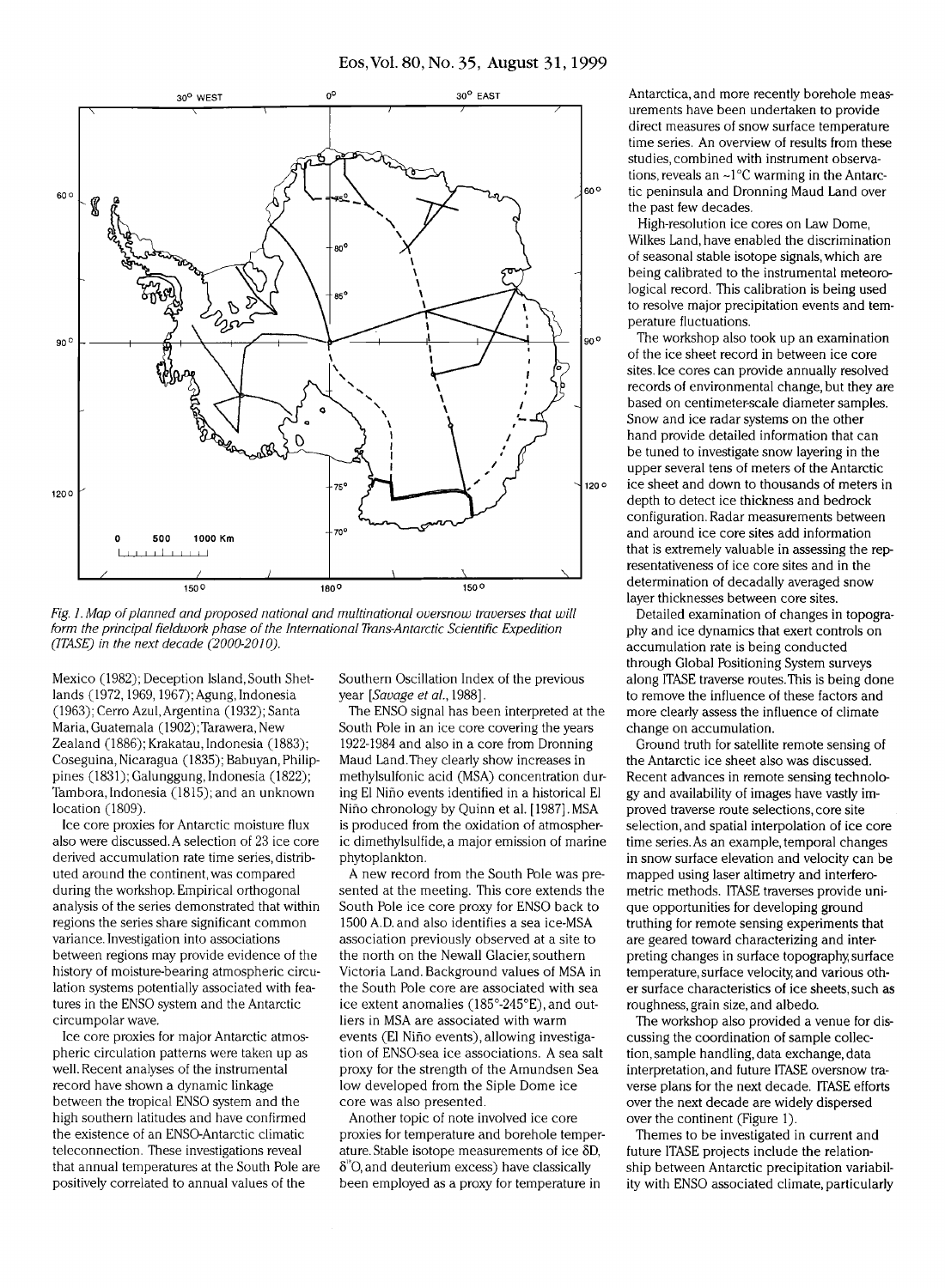

*Fig. 1. Map of planned and proposed national and multinational oversnow traverses that will form the principal fieldwork phase of the International Trans-Antarctic Scientific Expedition (ITASE) in the next decade (2000-2010).* 

Mexico (1982); Deception Island, South Shetlands (1972,1969,1967); Agung, Indonesia (1963); Cerro Azul,Argentina (1932); Santa Maria, Guatemala (1902);Tarawera, New Zealand (1886); Krakatau, Indonesia (1883); Coseguina, Nicaragua (1835); Babuyan, Philippines (1831); Galunggung, Indonesia (1822); Tambora, Indonesia (1815); and an unknown location (1809).

Ice core proxies for Antarctic moisture flux also were discussed. A selection of 23 ice core derived accumulation rate time series, distributed around the continent, was compared during the workshop. Empirical orthogonal analysis of the series demonstrated that within regions the series share significant common variance. Investigation into associations between regions may provide evidence of the history of moisture-bearing atmospheric circulation systems potentially associated with features in the ENSO system and the Antarctic circumpolar wave.

Ice core proxies for major Antarctic atmospheric circulation patterns were taken up as well. Recent analyses of the instrumental record have shown a dynamic linkage between the tropical ENSO system and the high southern latitudes and have confirmed the existence of an ENSO-Antarctic climatic teleconnection. These investigations reveal that annual temperatures at the South Pole are positively correlated to annual values of the

Southern Oscillation Index of the previous year *[Savage et ai,* 1988].

The ENSO signal has been interpreted at the South Pole in an ice core covering the years 1922-1984 and also in a core from Dronning Maud Land.They clearly show increases in methylsulfonic acid (MSA) concentration during El Nino events identified in a historical El Nino chronology by Quinn et al. [1987].MSA is produced from the oxidation of atmospheric dimethylsulfide, a major emission of marine phytoplankton.

A new record from the South Pole was presented at the meeting. This core extends the South Pole ice core proxy for ENSO back to 1500 A.D.and also identifies a sea ice-MSA association previously observed at a site to the north on the Newall Glacier, southern Victoria Land. Background values of MSA in the South Pole core are associated with sea ice extent anomalies  $(185^{\circ} \text{-} 245^{\circ} E)$ , and outliers in MSA are associated with warm events (El Nino events), allowing investigation of ENSO-sea ice associations. A sea salt proxy for the strength of the Amundsen Sea low developed from the Siple Dome ice core was also presented.

Another topic of note involved ice core proxies for temperature and borehole temperature. Stable isotope measurements of ice  $\delta D$ ,  $\delta$  °O, and deuterium excess) have classically been employed as a proxy for temperature in

Antarctica, and more recently borehole measurements have been undertaken to provide direct measures of snow surface temperature time series. An overview of results from these studies, combined with instrument observations, reveals an ~1°C warming in the Antarctic peninsula and Dronning Maud Land over the past few decades.

High-resolution ice cores on Law Dome, Wilkes Land, have enabled the discrimination of seasonal stable isotope signals, which are being calibrated to the instrumental meteorological record. This calibration is being used to resolve major precipitation events and temperature fluctuations.

The workshop also took up an examination of the ice sheet record in between ice core sites. Ice cores can provide annually resolved records of environmental change, but they are based on centimeter-scale diameter samples. Snow and ice radar systems on the other hand provide detailed information that can be tuned to investigate snow layering in the upper several tens of meters of the Antarctic ice sheet and down to thousands of meters in depth to detect ice thickness and bedrock configuration. Radar measurements between and around ice core sites add information that is extremely valuable in assessing the representativeness of ice core sites and in the determination of decadally averaged snow layer thicknesses between core sites.

Detailed examination of changes in topography and ice dynamics that exert controls on accumulation rate is being conducted through Global Positioning System surveys along ITASE traverse routes.This is being done to remove the influence of these factors and more clearly assess the influence of climate change on accumulation.

Ground truth for satellite remote sensing of the Antarctic ice sheet also was discussed. Recent advances in remote sensing technology and availability of images have vastly improved traverse route selections, core site selection, and spatial interpolation of ice core time series. As an example, temporal changes in snow surface elevation and velocity can be mapped using laser altimetry and interferometric methods. ITASE traverses provide unique opportunities for developing ground truthing for remote sensing experiments that are geared toward characterizing and interpreting changes in surface topography, surface temperature, surface velocity, and various other surface characteristics of ice sheets, such as roughness, grain size, and albedo.

The workshop also provided a venue for discussing the coordination of sample collection, sample handling, data exchange, data interpretation, and future ITASE oversnow traverse plans for the next decade. ITASE efforts over the next decade are widely dispersed over the continent (Figure 1).

Themes to be investigated in current and future ITASE projects include the relationship between Antarctic precipitation variability with ENSO associated climate, particularly